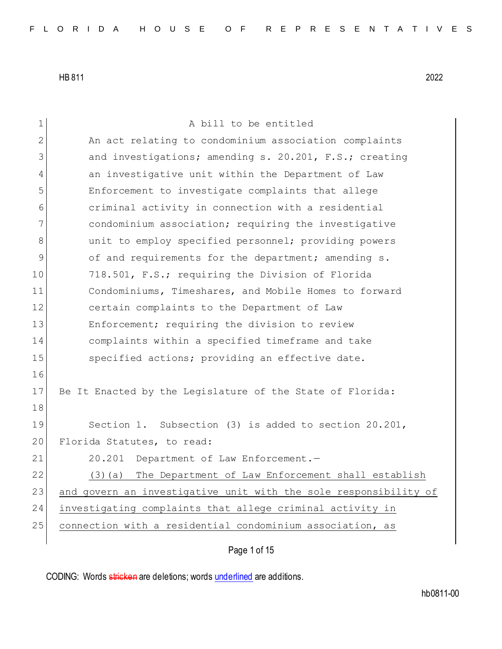1 A bill to be entitled 2 An act relating to condominium association complaints 3 and investigations; amending s. 20.201, F.S.; creating 4 an investigative unit within the Department of Law 5 Enforcement to investigate complaints that allege 6 criminal activity in connection with a residential 7 condominium association; requiring the investigative 8 and the mploy specified personnel; providing powers 9 of and requirements for the department; amending s. 10 718.501, F.S.; requiring the Division of Florida 11 Condominiums, Timeshares, and Mobile Homes to forward 12 certain complaints to the Department of Law 13 Enforcement; requiring the division to review 14 complaints within a specified timeframe and take 15 Specified actions; providing an effective date. 16 17 Be It Enacted by the Legislature of the State of Florida: 18 19 Section 1. Subsection (3) is added to section 20.201, 20 Florida Statutes, to read: 21 20.201 Department of Law Enforcement.-22 (3)(a) The Department of Law Enforcement shall establish 23 and govern an investigative unit with the sole responsibility of 24 investigating complaints that allege criminal activity in 25 connection with a residential condominium association, as

Page 1 of 15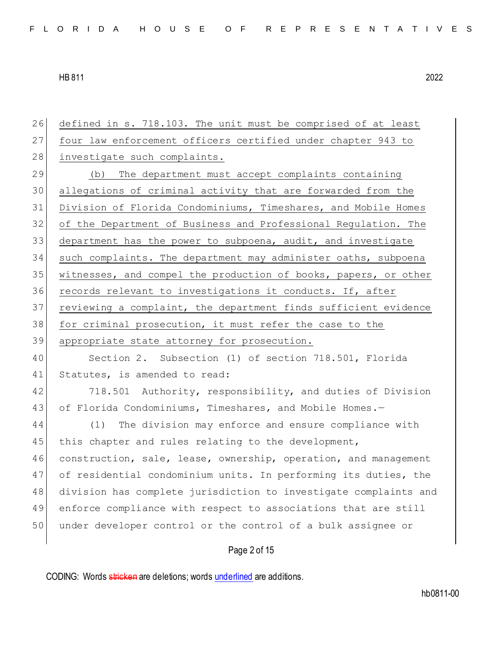Page 2 of 15 defined in s. 718.103. The unit must be comprised of at least four law enforcement officers certified under chapter 943 to 28 investigate such complaints. (b) The department must accept complaints containing allegations of criminal activity that are forwarded from the Division of Florida Condominiums, Timeshares, and Mobile Homes of the Department of Business and Professional Regulation. The department has the power to subpoena, audit, and investigate such complaints. The department may administer oaths, subpoena witnesses, and compel the production of books, papers, or other records relevant to investigations it conducts. If, after reviewing a complaint, the department finds sufficient evidence 38 for criminal prosecution, it must refer the case to the appropriate state attorney for prosecution. Section 2. Subsection (1) of section 718.501, Florida 41 Statutes, is amended to read: 42 718.501 Authority, responsibility, and duties of Division 43 of Florida Condominiums, Timeshares, and Mobile Homes.- (1) The division may enforce and ensure compliance with 45 this chapter and rules relating to the development, 46 construction, sale, lease, ownership, operation, and management of residential condominium units. In performing its duties, the division has complete jurisdiction to investigate complaints and enforce compliance with respect to associations that are still under developer control or the control of a bulk assignee or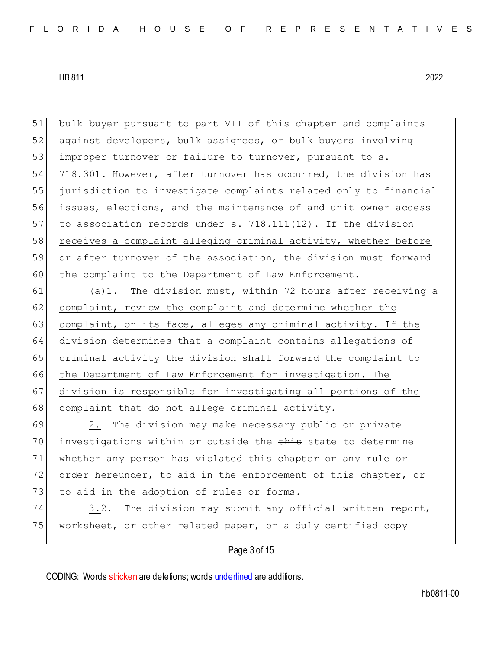51 bulk buyer pursuant to part VII of this chapter and complaints 52 against developers, bulk assignees, or bulk buyers involving 53 improper turnover or failure to turnover, pursuant to s. 54 718.301. However, after turnover has occurred, the division has 55 jurisdiction to investigate complaints related only to financial 56 issues, elections, and the maintenance of and unit owner access 57 to association records under s. 718.111(12). If the division  $58$  receives a complaint alleging criminal activity, whether before 59 or after turnover of the association, the division must forward 60 the complaint to the Department of Law Enforcement.

61 (a)1. The division must, within 72 hours after receiving a 62 complaint, review the complaint and determine whether the 63 complaint, on its face, alleges any criminal activity. If the 64 division determines that a complaint contains allegations of 65 criminal activity the division shall forward the complaint to 66 the Department of Law Enforcement for investigation. The 67 division is responsible for investigating all portions of the 68 complaint that do not allege criminal activity.

69 2. The division may make necessary public or private 70 investigations within or outside the this state to determine 71 whether any person has violated this chapter or any rule or 72 order hereunder, to aid in the enforcement of this chapter, or 73 to aid in the adoption of rules or forms.

74 3.2. The division may submit any official written report, 75 worksheet, or other related paper, or a duly certified copy

# Page 3 of 15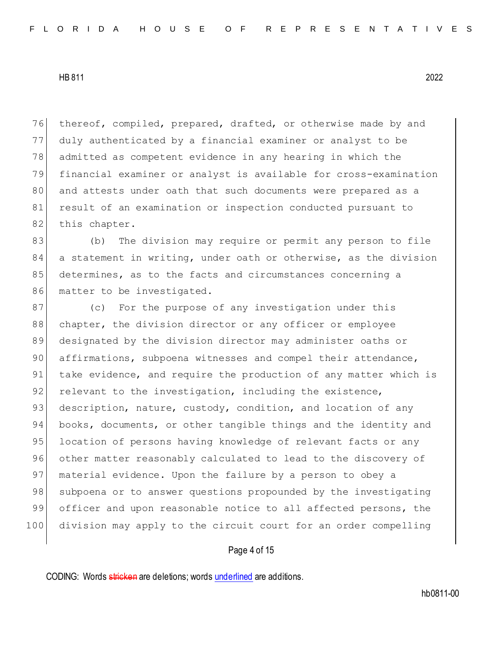76 thereof, compiled, prepared, drafted, or otherwise made by and 77 duly authenticated by a financial examiner or analyst to be 78 admitted as competent evidence in any hearing in which the 79 financial examiner or analyst is available for cross-examination 80 and attests under oath that such documents were prepared as a 81 result of an examination or inspection conducted pursuant to 82 this chapter.

83 (b) The division may require or permit any person to file 84 a statement in writing, under oath or otherwise, as the division 85 determines, as to the facts and circumstances concerning a 86 matter to be investigated.

87 (c) For the purpose of any investigation under this 88 chapter, the division director or any officer or employee 89 designated by the division director may administer oaths or 90 affirmations, subpoena witnesses and compel their attendance, 91 take evidence, and require the production of any matter which is 92 relevant to the investigation, including the existence, 93 description, nature, custody, condition, and location of any 94 books, documents, or other tangible things and the identity and 95 location of persons having knowledge of relevant facts or any 96 other matter reasonably calculated to lead to the discovery of 97 | material evidence. Upon the failure by a person to obey a 98 subpoena or to answer questions propounded by the investigating 99 officer and upon reasonable notice to all affected persons, the 100 division may apply to the circuit court for an order compelling

### Page 4 of 15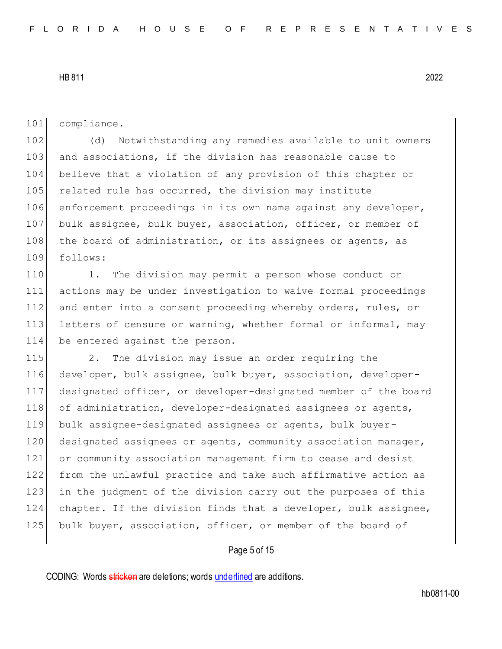101 compliance.

102 (d) Notwithstanding any remedies available to unit owners 103 and associations, if the division has reasonable cause to 104 believe that a violation of any provision of this chapter or 105 related rule has occurred, the division may institute 106 enforcement proceedings in its own name against any developer, 107 bulk assignee, bulk buyer, association, officer, or member of 108 the board of administration, or its assignees or agents, as 109 follows:

110 1. The division may permit a person whose conduct or 111 actions may be under investigation to waive formal proceedings 112 and enter into a consent proceeding whereby orders, rules, or 113 letters of censure or warning, whether formal or informal, may 114 be entered against the person.

115 2. The division may issue an order requiring the developer, bulk assignee, bulk buyer, association, developer- designated officer, or developer-designated member of the board 118 of administration, developer-designated assignees or agents, bulk assignee-designated assignees or agents, bulk buyer-120 designated assignees or agents, community association manager, or community association management firm to cease and desist from the unlawful practice and take such affirmative action as in the judgment of the division carry out the purposes of this chapter. If the division finds that a developer, bulk assignee, 125 bulk buyer, association, officer, or member of the board of

### Page 5 of 15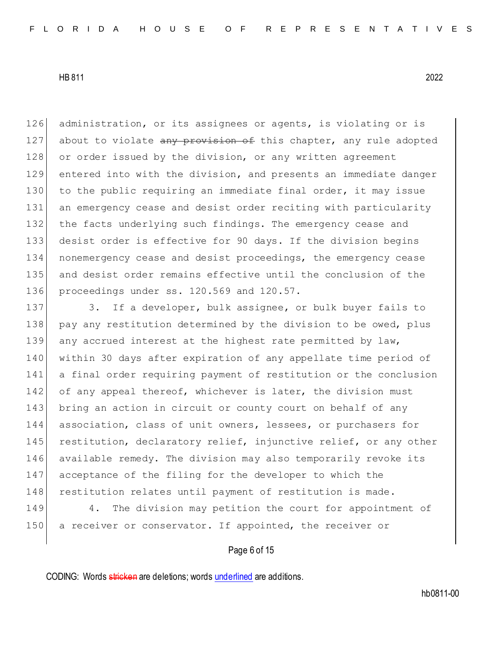126 administration, or its assignees or agents, is violating or is 127 about to violate any provision of this chapter, any rule adopted 128 or order issued by the division, or any written agreement 129 entered into with the division, and presents an immediate danger 130 to the public requiring an immediate final order, it may issue 131 an emergency cease and desist order reciting with particularity 132 the facts underlying such findings. The emergency cease and 133 desist order is effective for 90 days. If the division begins 134 nonemergency cease and desist proceedings, the emergency cease 135 and desist order remains effective until the conclusion of the 136 proceedings under ss. 120.569 and 120.57.

137 3. If a developer, bulk assignee, or bulk buyer fails to 138 pay any restitution determined by the division to be owed, plus 139 any accrued interest at the highest rate permitted by law, 140 within 30 days after expiration of any appellate time period of 141 a final order requiring payment of restitution or the conclusion 142 of any appeal thereof, whichever is later, the division must 143 bring an action in circuit or county court on behalf of any 144 association, class of unit owners, lessees, or purchasers for 145 restitution, declaratory relief, injunctive relief, or any other 146 available remedy. The division may also temporarily revoke its 147 acceptance of the filing for the developer to which the 148 restitution relates until payment of restitution is made.

149 4. The division may petition the court for appointment of 150 a receiver or conservator. If appointed, the receiver or

## Page 6 of 15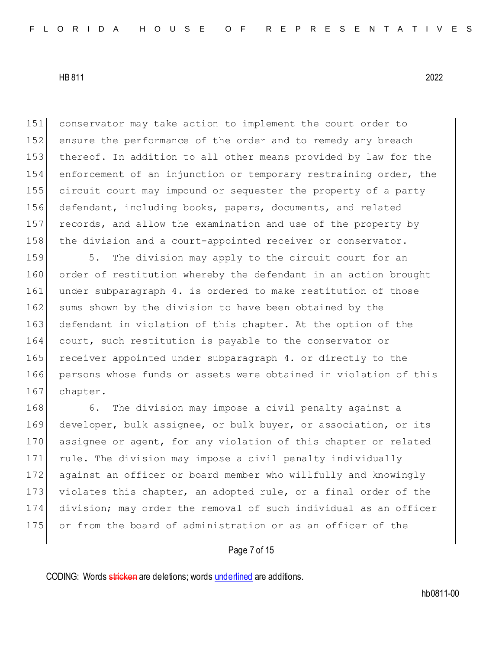conservator may take action to implement the court order to ensure the performance of the order and to remedy any breach 153 | thereof. In addition to all other means provided by law for the enforcement of an injunction or temporary restraining order, the circuit court may impound or sequester the property of a party defendant, including books, papers, documents, and related 157 records, and allow the examination and use of the property by 158 the division and a court-appointed receiver or conservator.

159 5. The division may apply to the circuit court for an 160 order of restitution whereby the defendant in an action brought 161 under subparagraph 4. is ordered to make restitution of those 162 sums shown by the division to have been obtained by the 163 defendant in violation of this chapter. At the option of the 164 court, such restitution is payable to the conservator or 165 receiver appointed under subparagraph 4. or directly to the 166 persons whose funds or assets were obtained in violation of this 167 chapter.

168 6. The division may impose a civil penalty against a developer, bulk assignee, or bulk buyer, or association, or its 170 assignee or agent, for any violation of this chapter or related rule. The division may impose a civil penalty individually against an officer or board member who willfully and knowingly 173 violates this chapter, an adopted rule, or a final order of the division; may order the removal of such individual as an officer or from the board of administration or as an officer of the

## Page 7 of 15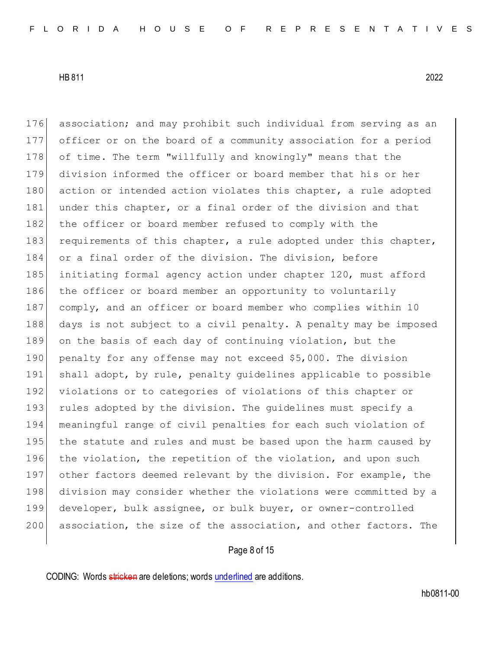176 association; and may prohibit such individual from serving as an 177 officer or on the board of a community association for a period 178 of time. The term "willfully and knowingly" means that the 179 division informed the officer or board member that his or her 180 action or intended action violates this chapter, a rule adopted 181 under this chapter, or a final order of the division and that 182 the officer or board member refused to comply with the 183 requirements of this chapter, a rule adopted under this chapter, 184 or a final order of the division. The division, before 185 initiating formal agency action under chapter 120, must afford 186 the officer or board member an opportunity to voluntarily 187 comply, and an officer or board member who complies within 10 188 days is not subject to a civil penalty. A penalty may be imposed 189 on the basis of each day of continuing violation, but the 190 penalty for any offense may not exceed \$5,000. The division 191 shall adopt, by rule, penalty guidelines applicable to possible 192 violations or to categories of violations of this chapter or 193 rules adopted by the division. The guidelines must specify a 194 meaningful range of civil penalties for each such violation of 195 the statute and rules and must be based upon the harm caused by 196 the violation, the repetition of the violation, and upon such 197 other factors deemed relevant by the division. For example, the 198 division may consider whether the violations were committed by a 199 developer, bulk assignee, or bulk buyer, or owner-controlled 200 association, the size of the association, and other factors. The

## Page 8 of 15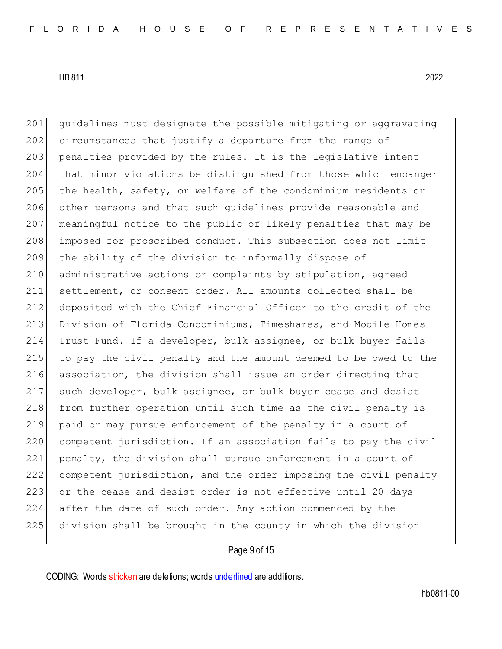guidelines must designate the possible mitigating or aggravating 202 circumstances that justify a departure from the range of 203 penalties provided by the rules. It is the legislative intent that minor violations be distinguished from those which endanger 205 the health, safety, or welfare of the condominium residents or other persons and that such guidelines provide reasonable and meaningful notice to the public of likely penalties that may be imposed for proscribed conduct. This subsection does not limit the ability of the division to informally dispose of administrative actions or complaints by stipulation, agreed settlement, or consent order. All amounts collected shall be deposited with the Chief Financial Officer to the credit of the Division of Florida Condominiums, Timeshares, and Mobile Homes Trust Fund. If a developer, bulk assignee, or bulk buyer fails to pay the civil penalty and the amount deemed to be owed to the association, the division shall issue an order directing that such developer, bulk assignee, or bulk buyer cease and desist 218 from further operation until such time as the civil penalty is paid or may pursue enforcement of the penalty in a court of 220 competent jurisdiction. If an association fails to pay the civil penalty, the division shall pursue enforcement in a court of competent jurisdiction, and the order imposing the civil penalty 223 or the cease and desist order is not effective until 20 days after the date of such order. Any action commenced by the division shall be brought in the county in which the division

# Page 9 of 15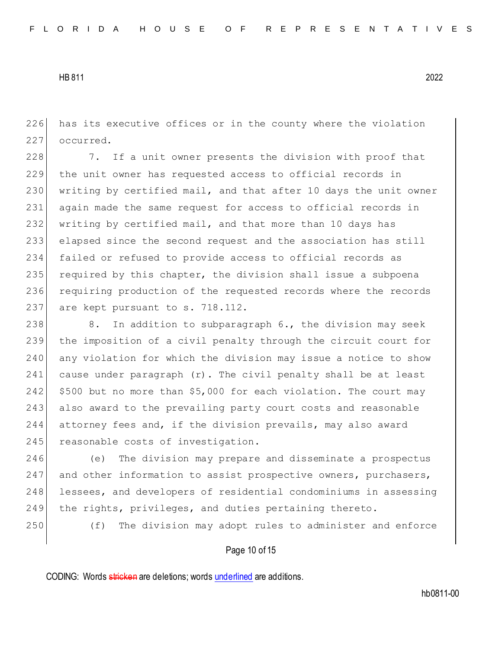226 has its executive offices or in the county where the violation 227 occurred.

228 7. If a unit owner presents the division with proof that the unit owner has requested access to official records in writing by certified mail, and that after 10 days the unit owner again made the same request for access to official records in writing by certified mail, and that more than 10 days has elapsed since the second request and the association has still failed or refused to provide access to official records as required by this chapter, the division shall issue a subpoena requiring production of the requested records where the records 237 are kept pursuant to s. 718.112.

238 8. In addition to subparagraph 6., the division may seek 239 the imposition of a civil penalty through the circuit court for 240 any violation for which the division may issue a notice to show 241 cause under paragraph  $(r)$ . The civil penalty shall be at least 242  $\mid$  \$500 but no more than \$5,000 for each violation. The court may 243 also award to the prevailing party court costs and reasonable 244 attorney fees and, if the division prevails, may also award 245 reasonable costs of investigation.

246 (e) The division may prepare and disseminate a prospectus 247 and other information to assist prospective owners, purchasers, 248 lessees, and developers of residential condominiums in assessing 249 the rights, privileges, and duties pertaining thereto.

250 (f) The division may adopt rules to administer and enforce

## Page 10 of 15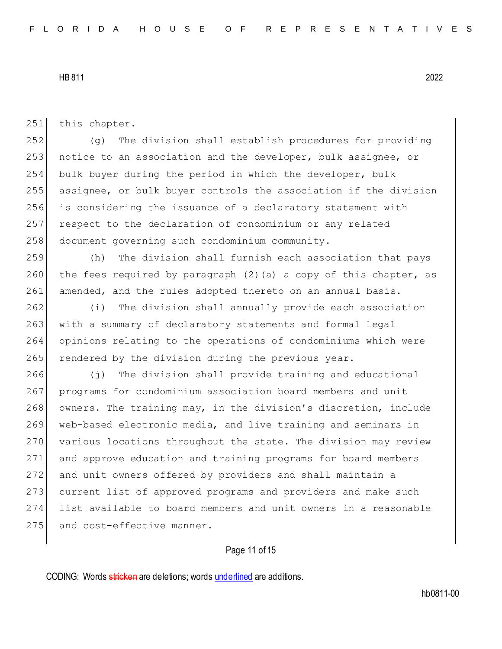251 this chapter.

 (g) The division shall establish procedures for providing 253 notice to an association and the developer, bulk assignee, or bulk buyer during the period in which the developer, bulk assignee, or bulk buyer controls the association if the division is considering the issuance of a declaratory statement with respect to the declaration of condominium or any related 258 document governing such condominium community.

259 (h) The division shall furnish each association that pays 260 the fees required by paragraph  $(2)$  (a) a copy of this chapter, as 261 amended, and the rules adopted thereto on an annual basis.

262 (i) The division shall annually provide each association 263 with a summary of declaratory statements and formal legal 264 opinions relating to the operations of condominiums which were 265 rendered by the division during the previous year.

266 (j) The division shall provide training and educational 267 | programs for condominium association board members and unit 268 owners. The training may, in the division's discretion, include 269 web-based electronic media, and live training and seminars in 270 various locations throughout the state. The division may review 271 and approve education and training programs for board members 272 and unit owners offered by providers and shall maintain a 273 current list of approved programs and providers and make such 274 list available to board members and unit owners in a reasonable 275 and cost-effective manner.

# Page 11 of 15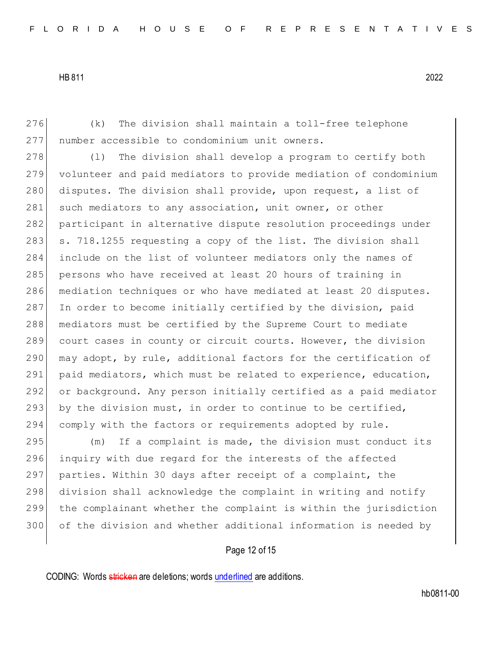276 (k) The division shall maintain a toll-free telephone 277 number accessible to condominium unit owners.

278 (1) The division shall develop a program to certify both 279 volunteer and paid mediators to provide mediation of condominium 280 disputes. The division shall provide, upon request, a list of 281 such mediators to any association, unit owner, or other 282 participant in alternative dispute resolution proceedings under  $283$  s. 718.1255 requesting a copy of the list. The division shall 284 include on the list of volunteer mediators only the names of 285 persons who have received at least 20 hours of training in 286 mediation techniques or who have mediated at least 20 disputes. 287 In order to become initially certified by the division, paid 288 mediators must be certified by the Supreme Court to mediate 289 court cases in county or circuit courts. However, the division 290 may adopt, by rule, additional factors for the certification of 291 paid mediators, which must be related to experience, education, 292 or background. Any person initially certified as a paid mediator 293 by the division must, in order to continue to be certified, 294 comply with the factors or requirements adopted by rule.

295 (m) If a complaint is made, the division must conduct its 296 inquiry with due regard for the interests of the affected 297 parties. Within 30 days after receipt of a complaint, the 298 division shall acknowledge the complaint in writing and notify 299 the complainant whether the complaint is within the jurisdiction 300 of the division and whether additional information is needed by

## Page 12 of 15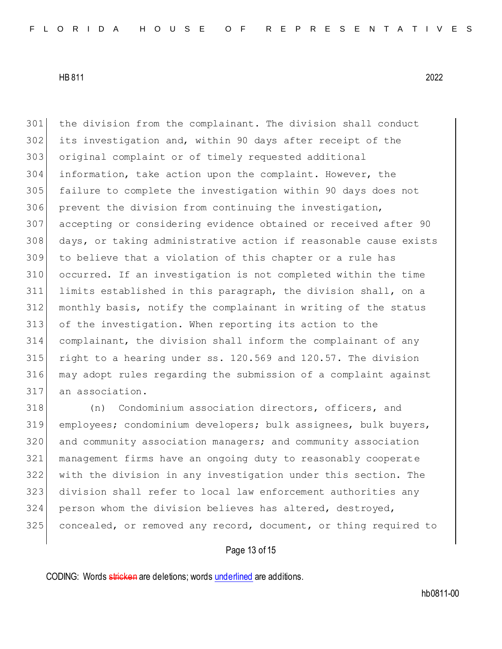the division from the complainant. The division shall conduct its investigation and, within 90 days after receipt of the original complaint or of timely requested additional information, take action upon the complaint. However, the failure to complete the investigation within 90 days does not prevent the division from continuing the investigation, accepting or considering evidence obtained or received after 90 days, or taking administrative action if reasonable cause exists to believe that a violation of this chapter or a rule has occurred. If an investigation is not completed within the time limits established in this paragraph, the division shall, on a monthly basis, notify the complainant in writing of the status of the investigation. When reporting its action to the complainant, the division shall inform the complainant of any 315 right to a hearing under ss. 120.569 and 120.57. The division may adopt rules regarding the submission of a complaint against an association.

 (n) Condominium association directors, officers, and employees; condominium developers; bulk assignees, bulk buyers, 320 and community association managers; and community association management firms have an ongoing duty to reasonably cooperate with the division in any investigation under this section. The division shall refer to local law enforcement authorities any person whom the division believes has altered, destroyed, 325 concealed, or removed any record, document, or thing required to

## Page 13 of 15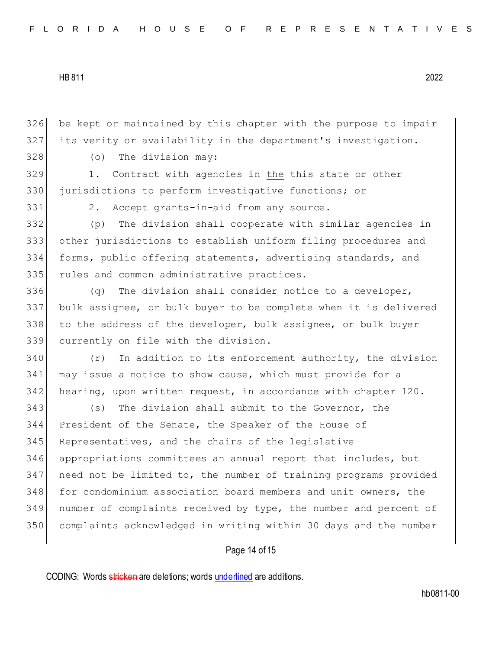be kept or maintained by this chapter with the purpose to impair its verity or availability in the department's investigation.

(o) The division may:

329 1. Contract with agencies in the this state or other jurisdictions to perform investigative functions; or

331 2. Accept grants-in-aid from any source.

 (p) The division shall cooperate with similar agencies in other jurisdictions to establish uniform filing procedures and forms, public offering statements, advertising standards, and 335 rules and common administrative practices.

 $(q)$  The division shall consider notice to a developer, bulk assignee, or bulk buyer to be complete when it is delivered to the address of the developer, bulk assignee, or bulk buyer currently on file with the division.

 (r) In addition to its enforcement authority, the division may issue a notice to show cause, which must provide for a hearing, upon written request, in accordance with chapter 120.

 (s) The division shall submit to the Governor, the President of the Senate, the Speaker of the House of 345 Representatives, and the chairs of the legislative appropriations committees an annual report that includes, but need not be limited to, the number of training programs provided for condominium association board members and unit owners, the 349 number of complaints received by type, the number and percent of complaints acknowledged in writing within 30 days and the number

### Page 14 of 15